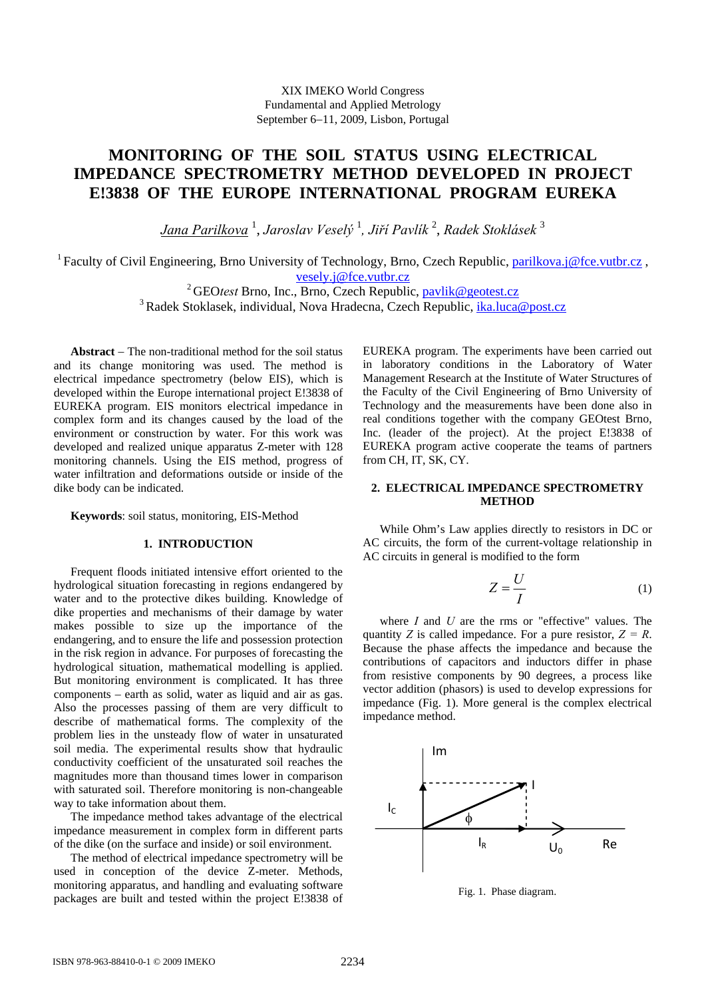# **MONITORING OF THE SOIL STATUS USING ELECTRICAL IMPEDANCE SPECTROMETRY METHOD DEVELOPED IN PROJECT E!3838 OF THE EUROPE INTERNATIONAL PROGRAM EUREKA**

*Jana Parilkova* <sup>1</sup> , *Jaroslav Veselý* <sup>1</sup> *, Jiří Pavlík* <sup>2</sup> , *Radek Stoklásek* <sup>3</sup>

<sup>1</sup> Faculty of Civil Engineering, Brno University of Technology, Brno, Czech Republic, parilkova.j@fce.vutbr.cz,

vesely.j@fce.vutbr.cz<br><sup>2</sup> GEOtest Brno, Inc., Brno, Czech Republic, <u>pavlik@geotest.cz</u><br><sup>3</sup> Radek Stoklasek, individual, Nova Hradecna, Czech Republic, ika.luca@post.cz

**Abstract** − The non-traditional method for the soil status and its change monitoring was used. The method is electrical impedance spectrometry (below EIS), which is developed within the Europe international project E!3838 of EUREKA program. EIS monitors electrical impedance in complex form and its changes caused by the load of the environment or construction by water. For this work was developed and realized unique apparatus Z-meter with 128 monitoring channels. Using the EIS method, progress of water infiltration and deformations outside or inside of the dike body can be indicated.

**Keywords**: soil status, monitoring, EIS-Method

## **1. INTRODUCTION**

Frequent floods initiated intensive effort oriented to the hydrological situation forecasting in regions endangered by water and to the protective dikes building. Knowledge of dike properties and mechanisms of their damage by water makes possible to size up the importance of the endangering, and to ensure the life and possession protection in the risk region in advance. For purposes of forecasting the hydrological situation, mathematical modelling is applied. But monitoring environment is complicated. It has three components – earth as solid, water as liquid and air as gas. Also the processes passing of them are very difficult to describe of mathematical forms. The complexity of the problem lies in the unsteady flow of water in unsaturated soil media. The experimental results show that hydraulic conductivity coefficient of the unsaturated soil reaches the magnitudes more than thousand times lower in comparison with saturated soil. Therefore monitoring is non-changeable way to take information about them.

The impedance method takes advantage of the electrical impedance measurement in complex form in different parts of the dike (on the surface and inside) or soil environment.

The method of electrical impedance spectrometry will be used in conception of the device Z-meter. Methods, monitoring apparatus, and handling and evaluating software packages are built and tested within the project E!3838 of EUREKA program. The experiments have been carried out in laboratory conditions in the Laboratory of Water Management Research at the Institute of Water Structures of the Faculty of the Civil Engineering of Brno University of Technology and the measurements have been done also in real conditions together with the company GEOtest Brno, Inc. (leader of the project). At the project E!3838 of EUREKA program active cooperate the teams of partners from CH, IT, SK, CY.

# **2. ELECTRICAL IMPEDANCE SPECTROMETRY METHOD**

While Ohm's Law applies directly to resistors in DC or AC circuits, the form of the current-voltage relationship in AC circuits in general is modified to the form

$$
Z = \frac{U}{I} \tag{1}
$$

where *I* and *U* are the rms or "effective" values. The quantity *Z* is called impedance. For a pure resistor,  $Z = R$ . Because the phase affects the impedance and because the contributions of capacitors and inductors differ in phase from resistive components by 90 degrees, a process like vector addition (phasors) is used to develop expressions for impedance (Fig. 1). More general is the complex electrical impedance method.



Fig. 1. Phase diagram.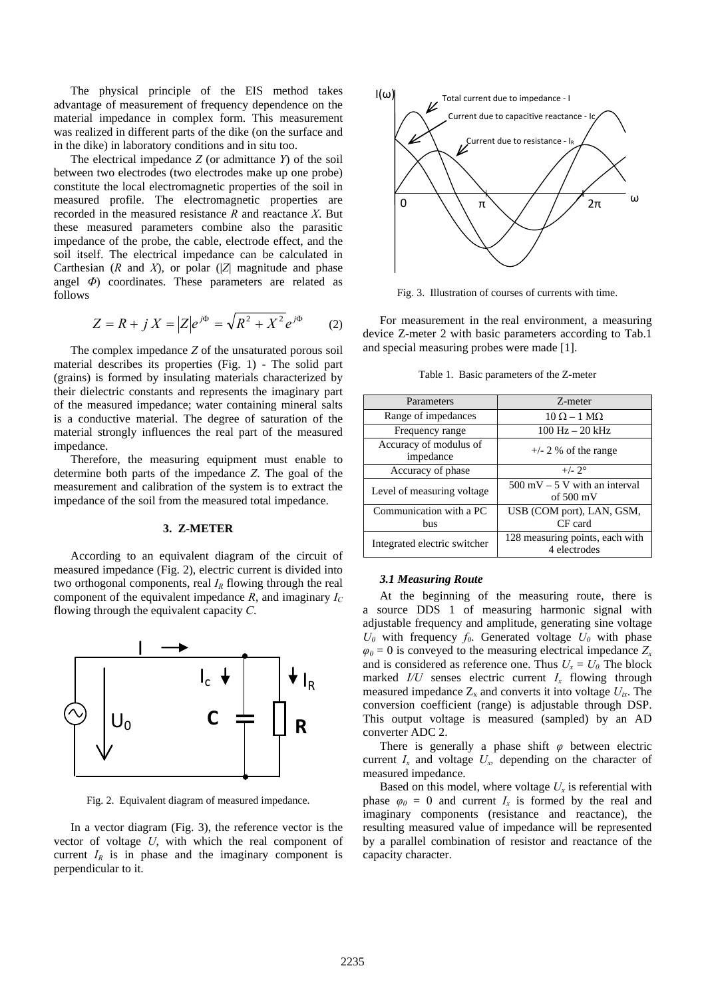The physical principle of the EIS method takes advantage of measurement of frequency dependence on the material impedance in complex form. This measurement was realized in different parts of the dike (on the surface and in the dike) in laboratory conditions and in situ too.

The electrical impedance *Z* (or admittance *Y*) of the soil between two electrodes (two electrodes make up one probe) constitute the local electromagnetic properties of the soil in measured profile. The electromagnetic properties are recorded in the measured resistance *R* and reactance *X*. But these measured parameters combine also the parasitic impedance of the probe, the cable, electrode effect, and the soil itself. The electrical impedance can be calculated in Carthesian (*R* and *X*), or polar (|*Z*| magnitude and phase angel *Φ*) coordinates. These parameters are related as follows

$$
Z = R + j X = |Z|e^{j\Phi} = \sqrt{R^2 + X^2}e^{j\Phi} \qquad (2)
$$

The complex impedance *Z* of the unsaturated porous soil material describes its properties (Fig. 1) - The solid part (grains) is formed by insulating materials characterized by their dielectric constants and represents the imaginary part of the measured impedance; water containing mineral salts is a conductive material. The degree of saturation of the material strongly influences the real part of the measured impedance.

Therefore, the measuring equipment must enable to determine both parts of the impedance *Z*. The goal of the measurement and calibration of the system is to extract the impedance of the soil from the measured total impedance.

#### **3. Z-METER**

According to an equivalent diagram of the circuit of measured impedance (Fig. 2), electric current is divided into two orthogonal components, real  $I_R$  flowing through the real component of the equivalent impedance  $R$ , and imaginary  $I_C$ flowing through the equivalent capacity *C*.



Fig. 2. Equivalent diagram of measured impedance.

In a vector diagram (Fig. 3), the reference vector is the vector of voltage *U*, with which the real component of current  $I_R$  is in phase and the imaginary component is perpendicular to it.



Fig. 3. Illustration of courses of currents with time.

For measurement in the real environment, a measuring device Z-meter 2 with basic parameters according to Tab.1 and special measuring probes were made [1].

Table 1. Basic parameters of the Z-meter

| Parameters                            | Z-meter                                                                |
|---------------------------------------|------------------------------------------------------------------------|
| Range of impedances                   | $10 \Omega - 1 M\Omega$                                                |
| Frequency range                       | $100 \text{ Hz} - 20 \text{ kHz}$                                      |
| Accuracy of modulus of<br>impedance   | $+/- 2$ % of the range                                                 |
| Accuracy of phase                     | $+/- 2^{\circ}$                                                        |
| Level of measuring voltage            | $500 \text{ mV} - 5 \text{ V}$ with an interval<br>of $500 \text{ mV}$ |
| Communication with a PC<br><b>bus</b> | USB (COM port), LAN, GSM,<br>CF card                                   |
| Integrated electric switcher          | 128 measuring points, each with<br>4 electrodes                        |

### *3.1 Measuring Route*

At the beginning of the measuring route, there is a source DDS 1 of measuring harmonic signal with adjustable frequency and amplitude, generating sine voltage  $U_0$  with frequency  $f_0$ . Generated voltage  $U_0$  with phase  $\varphi_0 = 0$  is conveyed to the measuring electrical impedance  $Z_x$ and is considered as reference one. Thus  $U_x = U_0$  The block marked  $I/U$  senses electric current  $I_x$  flowing through measured impedance  $Z_x$  and converts it into voltage  $U_{ix}$ . The conversion coefficient (range) is adjustable through DSP. This output voltage is measured (sampled) by an AD converter ADC 2.

There is generally a phase shift *φ* between electric current  $I_x$  and voltage  $U_x$ , depending on the character of measured impedance.

Based on this model, where voltage  $U_x$  is referential with phase  $\varphi_0 = 0$  and current  $I_x$  is formed by the real and imaginary components (resistance and reactance), the resulting measured value of impedance will be represented by a parallel combination of resistor and reactance of the capacity character.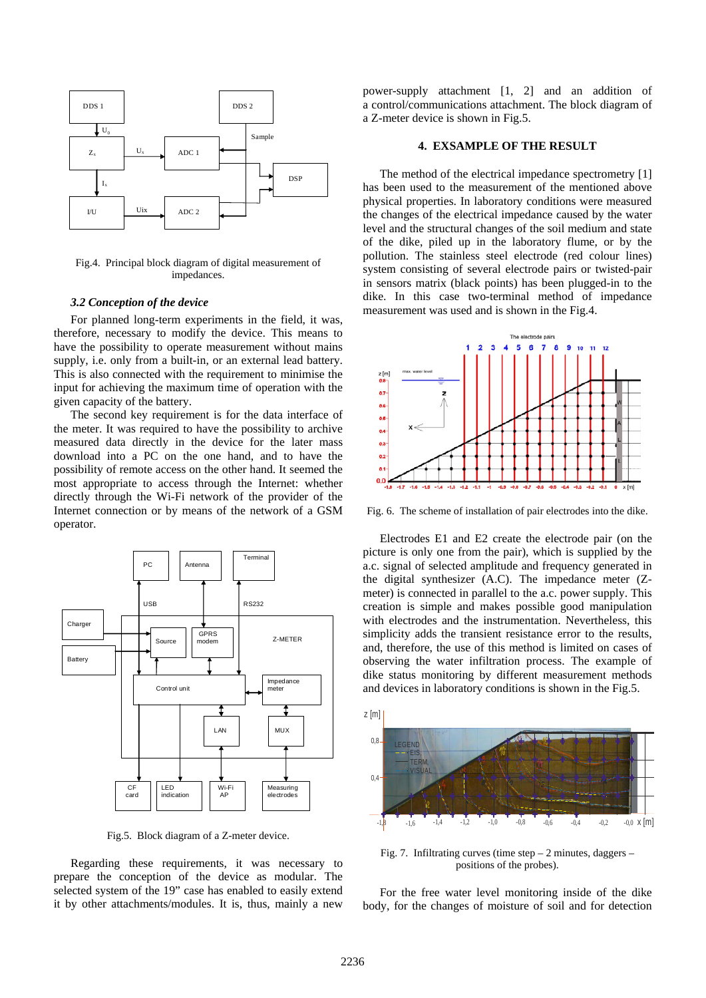

Fig.4. Principal block diagram of digital measurement of impedances.

#### *3.2 Conception of the device*

For planned long-term experiments in the field, it was, therefore, necessary to modify the device. This means to have the possibility to operate measurement without mains supply, i.e. only from a built-in, or an external lead battery. This is also connected with the requirement to minimise the input for achieving the maximum time of operation with the given capacity of the battery.

The second key requirement is for the data interface of the meter. It was required to have the possibility to archive measured data directly in the device for the later mass download into a PC on the one hand, and to have the possibility of remote access on the other hand. It seemed the most appropriate to access through the Internet: whether directly through the Wi-Fi network of the provider of the Internet connection or by means of the network of a GSM operator.



Fig.5. Block diagram of a Z-meter device.

Regarding these requirements, it was necessary to prepare the conception of the device as modular. The selected system of the 19" case has enabled to easily extend it by other attachments/modules. It is, thus, mainly a new power-supply attachment [1, 2] and an addition of a control/communications attachment. The block diagram of a Z-meter device is shown in Fig.5.

#### **4. EXSAMPLE OF THE RESULT**

The method of the electrical impedance spectrometry [1] has been used to the measurement of the mentioned above physical properties. In laboratory conditions were measured the changes of the electrical impedance caused by the water level and the structural changes of the soil medium and state of the dike, piled up in the laboratory flume, or by the pollution. The stainless steel electrode (red colour lines) system consisting of several electrode pairs or twisted-pair in sensors matrix (black points) has been plugged-in to the dike. In this case two-terminal method of impedance measurement was used and is shown in the Fig.4.



Fig. 6. The scheme of installation of pair electrodes into the dike.

Electrodes E1 and E2 create the electrode pair (on the picture is only one from the pair), which is supplied by the a.c. signal of selected amplitude and frequency generated in the digital synthesizer (A.C). The impedance meter (Zmeter) is connected in parallel to the a.c. power supply. This creation is simple and makes possible good manipulation with electrodes and the instrumentation. Nevertheless, this simplicity adds the transient resistance error to the results, and, therefore, the use of this method is limited on cases of observing the water infiltration process. The example of dike status monitoring by different measurement methods and devices in laboratory conditions is shown in the Fig.5.



Fig. 7. Infiltrating curves (time step  $-2$  minutes, daggers  $$ positions of the probes).

For the free water level monitoring inside of the dike body, for the changes of moisture of soil and for detection